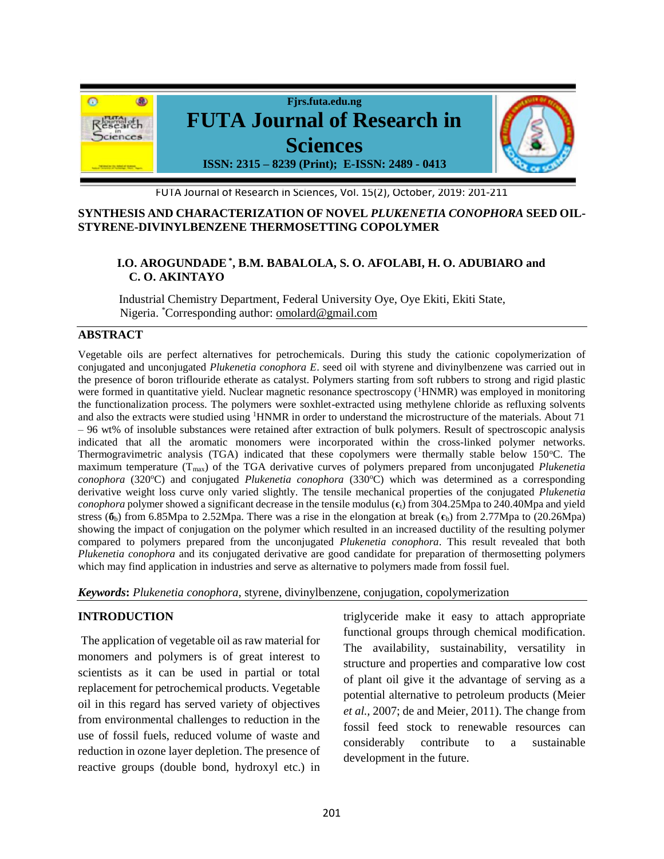

#### FUTA Journal of Research in Sciences, Vol. 15(2), October, 2019: 201-211

#### **SYNTHESIS AND CHARACTERIZATION OF NOVEL** *PLUKENETIA CONOPHORA* **SEED OIL-STYRENE-DIVINYLBENZENE THERMOSETTING COPOLYMER**

# **I.O. AROGUNDADE\* , B.M. BABALOLA, S. O. AFOLABI, H. O. ADUBIARO and C. O. AKINTAYO**

Industrial Chemistry Department, Federal University Oye, Oye Ekiti, Ekiti State, Nigeria. \*Corresponding author: omolard@gmail.com

#### **ABSTRACT**

Vegetable oils are perfect alternatives for petrochemicals. During this study the cationic copolymerization of conjugated and unconjugated *Plukenetia conophora E*. seed oil with styrene and divinylbenzene was carried out in the presence of boron triflouride etherate as catalyst. Polymers starting from soft rubbers to strong and rigid plastic were formed in quantitative yield. Nuclear magnetic resonance spectroscopy (<sup>1</sup>HNMR) was employed in monitoring the functionalization process. The polymers were soxhlet-extracted using methylene chloride as refluxing solvents and also the extracts were studied using <sup>1</sup>HNMR in order to understand the microstructure of the materials. About 71 – 96 wt% of insoluble substances were retained after extraction of bulk polymers. Result of spectroscopic analysis indicated that all the aromatic monomers were incorporated within the cross-linked polymer networks. Thermogravimetric analysis (TGA) indicated that these copolymers were thermally stable below 150 °C. The maximum temperature (Tmax) of the TGA derivative curves of polymers prepared from unconjugated *Plukenetia conophora* (320°C) and conjugated *Plukenetia conophora* (330°C) which was determined as a corresponding derivative weight loss curve only varied slightly. The tensile mechanical properties of the conjugated *Plukenetia conophora* polymer showed a significant decrease in the tensile modulus (**є**t) from 304.25Mpa to 240.40Mpa and yield stress (**б**b) from 6.85Mpa to 2.52Mpa. There was a rise in the elongation at break (**є**b) from 2.77Mpa to (20.26Mpa) showing the impact of conjugation on the polymer which resulted in an increased ductility of the resulting polymer compared to polymers prepared from the unconjugated *Plukenetia conophora*. This result revealed that both *Plukenetia conophora* and its conjugated derivative are good candidate for preparation of thermosetting polymers which may find application in industries and serve as alternative to polymers made from fossil fuel.

*Keywords***:** *Plukenetia conophora*, styrene, divinylbenzene, conjugation, copolymerization

#### **INTRODUCTION**

The application of vegetable oil as raw material for monomers and polymers is of great interest to scientists as it can be used in partial or total replacement for petrochemical products. Vegetable oil in this regard has served variety of objectives from environmental challenges to reduction in the use of fossil fuels, reduced volume of waste and reduction in ozone layer depletion. The presence of reactive groups (double bond, hydroxyl etc.) in triglyceride make it easy to attach appropriate functional groups through chemical modification. The availability, sustainability, versatility in structure and properties and comparative low cost of plant oil give it the advantage of serving as a potential alternative to petroleum products (Meier *et al.,* 2007; de and Meier, 2011). The change from fossil feed stock to renewable resources can considerably contribute to a sustainable development in the future.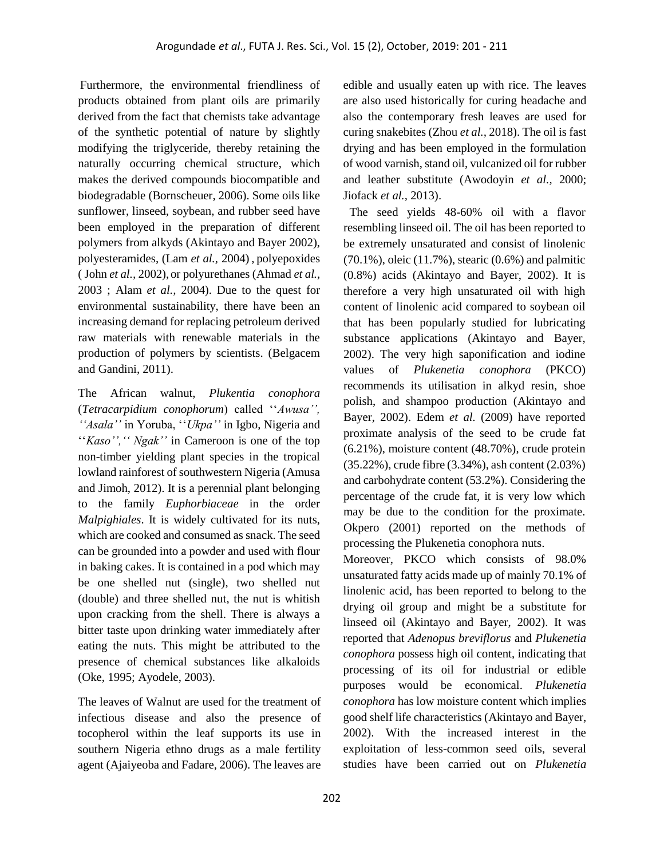Furthermore, the environmental friendliness of products obtained from plant oils are primarily derived from the fact that chemists take advantage of the synthetic potential of nature by slightly modifying the triglyceride, thereby retaining the naturally occurring chemical structure, which makes the derived compounds biocompatible and biodegradable (Bornscheuer, 2006). Some oils like sunflower, linseed, soybean, and rubber seed have been employed in the preparation of different polymers from alkyds (Akintayo and Bayer 2002), polyesteramides, (Lam *et al.,* 2004) , polyepoxides ( John *et al.,* 2002), or polyurethanes (Ahmad *et al.,* 2003 ; Alam *et al.,* 2004). Due to the quest for environmental sustainability, there have been an increasing demand for replacing petroleum derived raw materials with renewable materials in the production of polymers by scientists. (Belgacem and Gandini, 2011).

The African walnut, *Plukentia conophora* (*Tetracarpidium conophorum*) called ''*Awusa'', ''Asala''* in Yoruba, ''*Ukpa''* in Igbo, Nigeria and "*Kaso"*, "*Ngak*" in Cameroon is one of the top non-timber yielding plant species in the tropical lowland rainforest of southwestern Nigeria (Amusa and Jimoh, 2012). It is a perennial plant belonging to the family *Euphorbiaceae* in the order *Malpighiales*. It is widely cultivated for its nuts, which are cooked and consumed as snack. The seed can be grounded into a powder and used with flour in baking cakes. It is contained in a pod which may be one shelled nut (single), two shelled nut (double) and three shelled nut, the nut is whitish upon cracking from the shell. There is always a bitter taste upon drinking water immediately after eating the nuts. This might be attributed to the presence of chemical substances like alkaloids (Oke, 1995; Ayodele, 2003).

The leaves of Walnut are used for the treatment of infectious disease and also the presence of tocopherol within the leaf supports its use in southern Nigeria ethno drugs as a male fertility agent (Ajaiyeoba and Fadare, 2006). The leaves are

edible and usually eaten up with rice. The leaves are also used historically for curing headache and also the contemporary fresh leaves are used for curing snakebites (Zhou *et al.,* 2018). The oil is fast drying and has been employed in the formulation of wood varnish, stand oil, vulcanized oil for rubber and leather substitute (Awodoyin *et al.,* 2000; Jiofack *et al.,* 2013).

 The seed yields 48-60% oil with a flavor resembling linseed oil. The oil has been reported to be extremely unsaturated and consist of linolenic (70.1%), oleic (11.7%), stearic (0.6%) and palmitic (0.8%) acids (Akintayo and Bayer, 2002). It is therefore a very high unsaturated oil with high content of linolenic acid compared to soybean oil that has been popularly studied for lubricating substance applications (Akintayo and Bayer, 2002). The very high saponification and iodine values of *Plukenetia conophora* (PKCO) recommends its utilisation in alkyd resin, shoe polish, and shampoo production (Akintayo and Bayer, 2002). Edem *et al.* (2009) have reported proximate analysis of the seed to be crude fat (6.21%), moisture content (48.70%), crude protein (35.22%), crude fibre (3.34%), ash content (2.03%) and carbohydrate content (53.2%). Considering the percentage of the crude fat, it is very low which may be due to the condition for the proximate. Okpero (2001) reported on the methods of processing the Plukenetia conophora nuts.

Moreover, PKCO which consists of 98.0% unsaturated fatty acids made up of mainly 70.1% of linolenic acid, has been reported to belong to the drying oil group and might be a substitute for linseed oil (Akintayo and Bayer, 2002). It was reported that *Adenopus breviflorus* and *Plukenetia conophora* possess high oil content, indicating that processing of its oil for industrial or edible purposes would be economical. *Plukenetia conophora* has low moisture content which implies good shelf life characteristics (Akintayo and Bayer, 2002). With the increased interest in the exploitation of less-common seed oils, several studies have been carried out on *Plukenetia*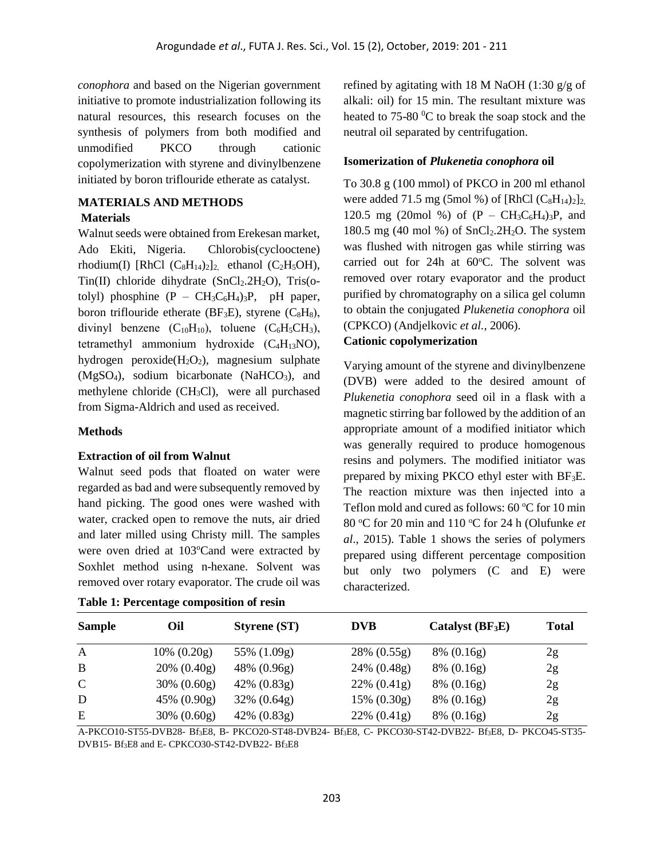*conophora* and based on the Nigerian government initiative to promote industrialization following its natural resources, this research focuses on the synthesis of polymers from both modified and unmodified PKCO through cationic copolymerization with styrene and divinylbenzene initiated by boron triflouride etherate as catalyst.

## **MATERIALS AND METHODS**

#### **Materials**

Walnut seeds were obtained from Erekesan market, Ado Ekiti, Nigeria. Chlorobis(cyclooctene) rhodium(I) [RhCl  $(C_8H_{14})_2$ ]<sub>2,</sub> ethanol  $(C_2H_5OH)$ ,  $Tin(II)$  chloride dihydrate (SnCl<sub>2</sub>.2H<sub>2</sub>O), Tris(otolyl) phosphine  $(P - CH_3C_6H_4)_3P$ , pH paper, boron triflouride etherate ( $BF_3E$ ), styrene ( $C_8H_8$ ), divinyl benzene  $(C_{10}H_{10})$ , toluene  $(C_6H_5CH_3)$ , tetramethyl ammonium hydroxide  $(C_4H_{13}NO)$ , hydrogen peroxide $(H_2O_2)$ , magnesium sulphate  $(MgSO<sub>4</sub>)$ , sodium bicarbonate (NaHCO<sub>3</sub>), and methylene chloride (CH3Cl), were all purchased from Sigma-Aldrich and used as received.

#### **Methods**

#### **Extraction of oil from Walnut**

Walnut seed pods that floated on water were regarded as bad and were subsequently removed by hand picking. The good ones were washed with water, cracked open to remove the nuts, air dried and later milled using Christy mill. The samples were oven dried at 103°Cand were extracted by Soxhlet method using n-hexane. Solvent was removed over rotary evaporator. The crude oil was

| Table 1: Percentage composition of resin |  |  |
|------------------------------------------|--|--|
|------------------------------------------|--|--|

refined by agitating with 18 M NaOH (1:30  $g/g$  of alkali: oil) for 15 min. The resultant mixture was heated to  $75{\text -}80^{\text{o}}$ C to break the soap stock and the neutral oil separated by centrifugation.

### **Isomerization of** *Plukenetia conophora* **oil**

To 30.8 g (100 mmol) of PKCO in 200 ml ethanol were added 71.5 mg (5mol %) of [RhCl  $(C_8H_{14})_2$ ]<sub>2</sub>. 120.5 mg (20mol %) of  $(P - CH_3C_6H_4)_3P$ , and 180.5 mg (40 mol %) of  $SnCl<sub>2</sub>·2H<sub>2</sub>O$ . The system was flushed with nitrogen gas while stirring was carried out for 24h at 60°C. The solvent was removed over rotary evaporator and the product purified by chromatography on a silica gel column to obtain the conjugated *Plukenetia conophora* oil (CPKCO) (Andjelkovic *et al.,* 2006).

# **Cationic copolymerization**

Varying amount of the styrene and divinylbenzene (DVB) were added to the desired amount of *Plukenetia conophora* seed oil in a flask with a magnetic stirring bar followed by the addition of an appropriate amount of a modified initiator which was generally required to produce homogenous resins and polymers. The modified initiator was prepared by mixing PKCO ethyl ester with BF3E. The reaction mixture was then injected into a Teflon mold and cured as follows:  $60^{\circ}$ C for 10 min 80 <sup>o</sup>C for 20 min and 110 <sup>o</sup>C for 24 h (Olufunke *et al*., 2015). Table 1 shows the series of polymers prepared using different percentage composition but only two polymers (C and E) were characterized.

| <b>Sample</b> | Oil            | <b>Styrene (ST)</b> | <b>DVB</b>     | Catalyst $(BF_3E)$ | <b>Total</b> |
|---------------|----------------|---------------------|----------------|--------------------|--------------|
| A             | $10\% (0.20g)$ | 55% (1.09g)         | $28\% (0.55g)$ | $8\% (0.16g)$      | 2g           |
| B             | $20\% (0.40g)$ | 48% (0.96g)         | 24% (0.48g)    | $8\% (0.16g)$      | 2g           |
| $\mathbf C$   | $30\% (0.60g)$ | $42\% (0.83g)$      | $22\% (0.41g)$ | $8\% (0.16g)$      | 2g           |
| D             | $45\% (0.90g)$ | $32\% (0.64g)$      | $15\% (0.30g)$ | $8\% (0.16g)$      | 2g           |
| Ε             | $30\% (0.60g)$ | $42\% (0.83g)$      | $22\% (0.41g)$ | $8\% (0.16g)$      | 2g           |

A-PKCO10-ST55-DVB28- Bf3E8, B- PKCO20-ST48-DVB24- Bf3E8, C- PKCO30-ST42-DVB22- Bf3E8, D- PKCO45-ST35- DVB15- Bf3E8 and E- CPKCO30-ST42-DVB22- Bf3E8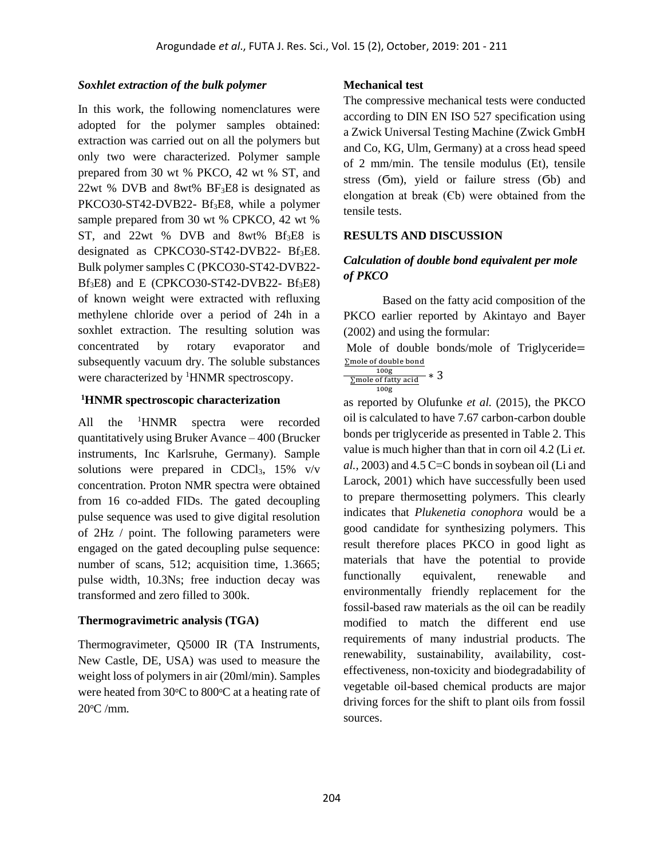# *Soxhlet extraction of the bulk polymer*

In this work, the following nomenclatures were adopted for the polymer samples obtained: extraction was carried out on all the polymers but only two were characterized. Polymer sample prepared from 30 wt % PKCO, 42 wt % ST, and 22wt % DVB and 8wt% BF3E8 is designated as PKCO30-ST42-DVB22- Bf<sub>3</sub>E8, while a polymer sample prepared from 30 wt % CPKCO, 42 wt % ST, and  $22wt$  % DVB and  $8wt\%$  Bf<sub>3</sub>E8 is designated as CPKCO30-ST42-DVB22- Bf<sub>3</sub>E8. Bulk polymer samples C (PKCO30-ST42-DVB22-  $Bf_3E8$ ) and E (CPKCO30-ST42-DVB22-  $Bf_3E8$ ) of known weight were extracted with refluxing methylene chloride over a period of 24h in a soxhlet extraction. The resulting solution was concentrated by rotary evaporator and subsequently vacuum dry. The soluble substances were characterized by <sup>1</sup>HNMR spectroscopy.

## **<sup>1</sup>HNMR spectroscopic characterization**

All the <sup>1</sup>HNMR spectra were recorded quantitatively using Bruker Avance – 400 (Brucker instruments, Inc Karlsruhe, Germany). Sample solutions were prepared in CDCl<sub>3</sub>,  $15\%$  v/v concentration. Proton NMR spectra were obtained from 16 co-added FIDs. The gated decoupling pulse sequence was used to give digital resolution of 2Hz / point. The following parameters were engaged on the gated decoupling pulse sequence: number of scans, 512; acquisition time, 1.3665; pulse width, 10.3Ns; free induction decay was transformed and zero filled to 300k.

## **Thermogravimetric analysis (TGA)**

Thermogravimeter, Q5000 IR (TA Instruments, New Castle, DE, USA) was used to measure the weight loss of polymers in air (20ml/min). Samples were heated from  $30^{\circ}$ C to  $800^{\circ}$ C at a heating rate of  $20^{\circ}$ C /mm.

## **Mechanical test**

The compressive mechanical tests were conducted according to DIN EN ISO 527 specification using a Zwick Universal Testing Machine (Zwick GmbH and Co, KG, Ulm, Germany) at a cross head speed of 2 mm/min. The tensile modulus (Et), tensile stress (Ϭm), yield or failure stress (Ϭb) and elongation at break (Єb) were obtained from the tensile tests.

## **RESULTS AND DISCUSSION**

# *Calculation of double bond equivalent per mole of PKCO*

Based on the fatty acid composition of the PKCO earlier reported by Akintayo and Bayer (2002) and using the formular:

Mole of double bonds/mole of Triglyceride= ∑mole of double bond

| 100g                | 3 |
|---------------------|---|
| ∑mole of fatty acid |   |
| 100 <sub>g</sub>    |   |

as reported by Olufunke *et al.* (2015), the PKCO oil is calculated to have 7.67 carbon-carbon double bonds per triglyceride as presented in Table 2. This value is much higher than that in corn oil 4.2 (Li *et. al.,* 2003) and 4.5 C=C bonds in soybean oil (Li and Larock, 2001) which have successfully been used to prepare thermosetting polymers. This clearly indicates that *Plukenetia conophora* would be a good candidate for synthesizing polymers. This result therefore places PKCO in good light as materials that have the potential to provide functionally equivalent, renewable and environmentally friendly replacement for the fossil-based raw materials as the oil can be readily modified to match the different end use requirements of many industrial products. The renewability, sustainability, availability, costeffectiveness, non-toxicity and biodegradability of vegetable oil-based chemical products are major driving forces for the shift to plant oils from fossil sources.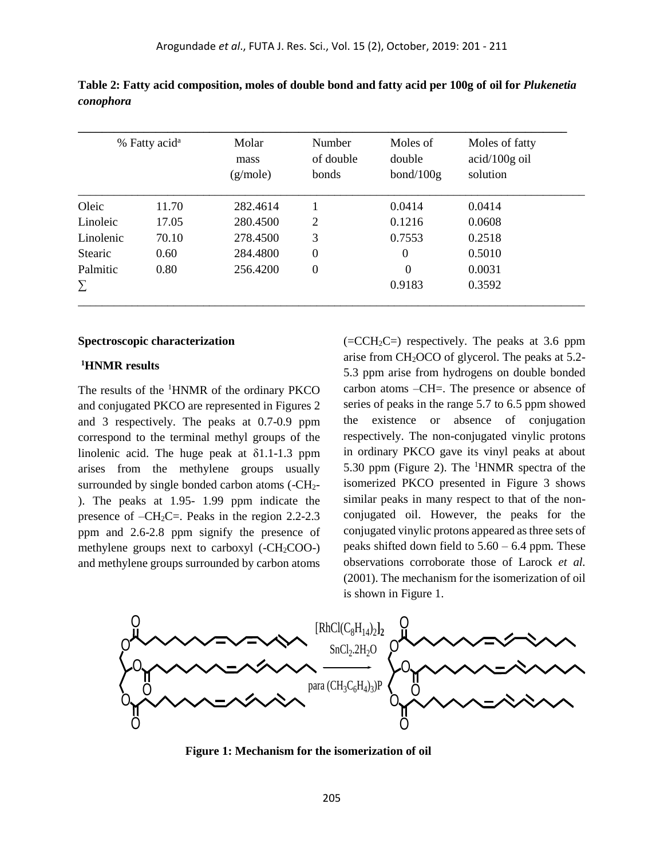|                | % Fatty acid <sup>a</sup> | Molar<br>mass<br>(g/mole) | Number<br>of double<br>bonds | Moles of<br>double<br>bond/100g | Moles of fatty<br>$acid/100g$ oil<br>solution |
|----------------|---------------------------|---------------------------|------------------------------|---------------------------------|-----------------------------------------------|
| Oleic          | 11.70                     | 282.4614                  |                              | 0.0414                          | 0.0414                                        |
| Linoleic       | 17.05                     | 280.4500                  | 2                            | 0.1216                          | 0.0608                                        |
| Linolenic      | 70.10                     | 278.4500                  | 3                            | 0.7553                          | 0.2518                                        |
| <b>Stearic</b> | 0.60                      | 284.4800                  | $\boldsymbol{0}$             | $\theta$                        | 0.5010                                        |
| Palmitic       | 0.80                      | 256.4200                  | $\boldsymbol{0}$             | $\Omega$                        | 0.0031                                        |
| Σ              |                           |                           |                              | 0.9183                          | 0.3592                                        |

**Table 2: Fatty acid composition, moles of double bond and fatty acid per 100g of oil for** *Plukenetia conophora* 

#### **Spectroscopic characterization**

#### **<sup>1</sup>HNMR results**

The results of the <sup>1</sup>HNMR of the ordinary PKCO and conjugated PKCO are represented in Figures 2 and 3 respectively. The peaks at 0.7-0.9 ppm correspond to the terminal methyl groups of the linolenic acid. The huge peak at δ1.1-1.3 ppm arises from the methylene groups usually surrounded by single bonded carbon atoms (-CH2- ). The peaks at 1.95- 1.99 ppm indicate the presence of  $-CH_2C=$ . Peaks in the region 2.2-2.3 ppm and 2.6-2.8 ppm signify the presence of methylene groups next to carboxyl  $(-CH<sub>2</sub>COO<sub>-</sub>)$ and methylene groups surrounded by carbon atoms  $(=CCH<sub>2</sub>C=)$  respectively. The peaks at 3.6 ppm arise from CH2OCO of glycerol. The peaks at 5.2- 5.3 ppm arise from hydrogens on double bonded carbon atoms –CH=. The presence or absence of series of peaks in the range 5.7 to 6.5 ppm showed the existence or absence of conjugation respectively. The non-conjugated vinylic protons in ordinary PKCO gave its vinyl peaks at about 5.30 ppm (Figure 2). The <sup>1</sup>HNMR spectra of the isomerized PKCO presented in Figure 3 shows similar peaks in many respect to that of the nonconjugated oil. However, the peaks for the conjugated vinylic protons appeared as three sets of peaks shifted down field to  $5.60 - 6.4$  ppm. These observations corroborate those of Larock *et al.* (2001). The mechanism for the isomerization of oil is shown in Figure 1.



 **Figure 1: Mechanism for the isomerization of oil**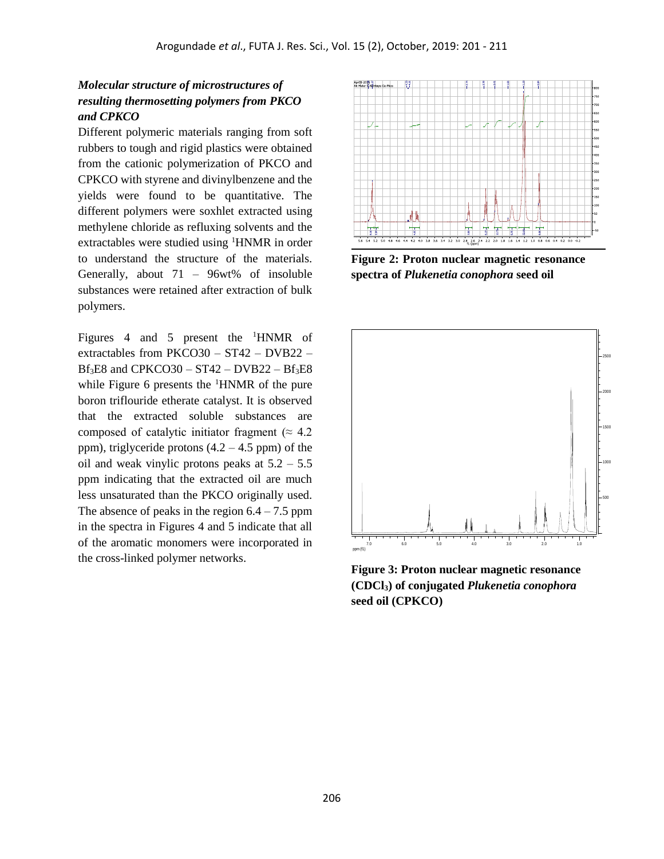# *Molecular structure of microstructures of resulting thermosetting polymers from PKCO and CPKCO*

Different polymeric materials ranging from soft rubbers to tough and rigid plastics were obtained from the cationic polymerization of PKCO and CPKCO with styrene and divinylbenzene and the yields were found to be quantitative. The different polymers were soxhlet extracted using methylene chloride as refluxing solvents and the extractables were studied using <sup>1</sup>HNMR in order to understand the structure of the materials. Generally, about 71 – 96wt% of insoluble substances were retained after extraction of bulk polymers.

Figures 4 and 5 present the <sup>1</sup>HNMR of extractables from PKCO30 – ST42 – DVB22 –  $Bf<sub>3</sub>E8$  and CPKCO30 – ST42 – DVB22 –  $Bf<sub>3</sub>E8$ while Figure 6 presents the  $\rm{^1H NMR}$  of the pure boron triflouride etherate catalyst. It is observed that the extracted soluble substances are composed of catalytic initiator fragment ( $\approx 4.2$ ) ppm), triglyceride protons  $(4.2 - 4.5$  ppm) of the oil and weak vinylic protons peaks at  $5.2 - 5.5$ ppm indicating that the extracted oil are much less unsaturated than the PKCO originally used. The absence of peaks in the region  $6.4 - 7.5$  ppm in the spectra in Figures 4 and 5 indicate that all of the aromatic monomers were incorporated in the cross-linked polymer networks.



**Figure 2: Proton nuclear magnetic resonance spectra of** *Plukenetia conophora* **seed oil**



**Figure 3: Proton nuclear magnetic resonance (CDCl3) of conjugated** *Plukenetia conophora* **seed oil (CPKCO)**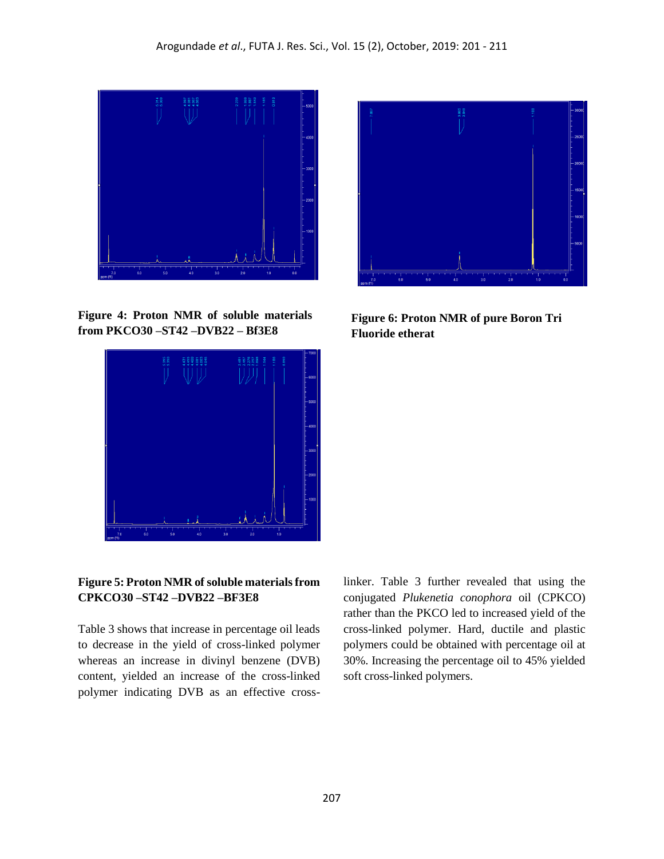

**Figure 4: Proton NMR of soluble materials from PKCO30 –ST42 –DVB22 – Bf3E8**





**Figure 6: Proton NMR of pure Boron Tri Fluoride etherat**

# **Figure 5: Proton NMR of soluble materials from CPKCO30 –ST42 –DVB22 –BF3E8**

Table 3 shows that increase in percentage oil leads to decrease in the yield of cross-linked polymer whereas an increase in divinyl benzene (DVB) content, yielded an increase of the cross-linked polymer indicating DVB as an effective crosslinker. Table 3 further revealed that using the conjugated *Plukenetia conophora* oil (CPKCO) rather than the PKCO led to increased yield of the cross-linked polymer. Hard, ductile and plastic polymers could be obtained with percentage oil at 30%. Increasing the percentage oil to 45% yielded soft cross-linked polymers.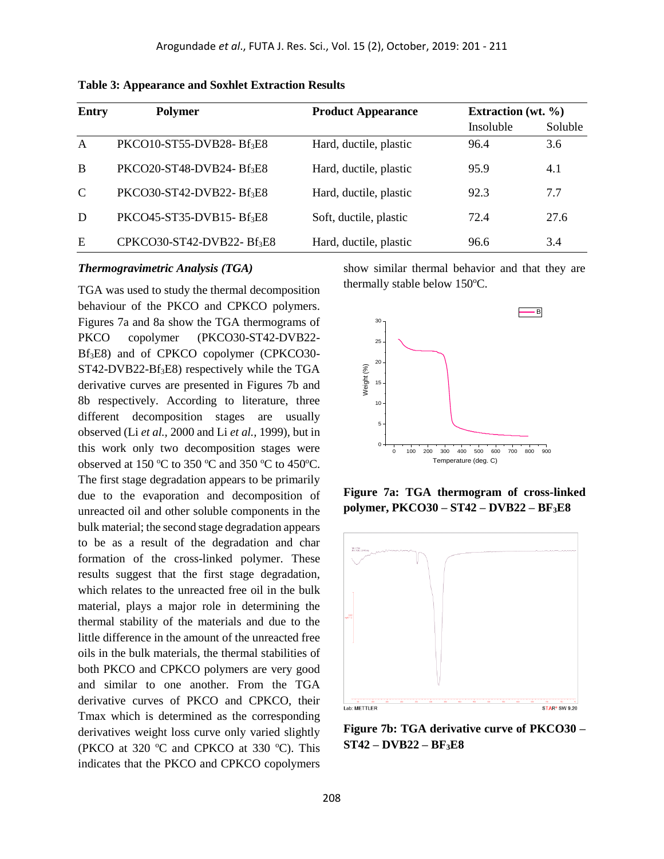| <b>Entry</b>  | <b>Polymer</b>                        | <b>Product Appearance</b> | Extraction (wt. $\%$ ) |         |
|---------------|---------------------------------------|---------------------------|------------------------|---------|
|               |                                       |                           | Insoluble              | Soluble |
| $\mathsf{A}$  | PKCO10-ST55-DVB28-Bf <sub>3</sub> E8  | Hard, ductile, plastic    | 96.4                   | 3.6     |
| B             | PKCO20-ST48-DVB24-Bf <sub>3</sub> E8  | Hard, ductile, plastic    | 95.9                   | 4.1     |
| $\mathcal{C}$ | PKCO30-ST42-DVB22-Bf <sub>3</sub> E8  | Hard, ductile, plastic    | 92.3                   | 7.7     |
| D             | PKCO45-ST35-DVB15-Bf <sub>3</sub> E8  | Soft, ductile, plastic    | 72.4                   | 27.6    |
| E             | CPKCO30-ST42-DVB22-Bf <sub>3</sub> E8 | Hard, ductile, plastic    | 96.6                   | 3.4     |

**Table 3: Appearance and Soxhlet Extraction Results**

#### *Thermogravimetric Analysis (TGA)*

TGA was used to study the thermal decomposition behaviour of the PKCO and CPKCO polymers. Figures 7a and 8a show the TGA thermograms of PKCO copolymer (PKCO30-ST42-DVB22- Bf3E8) and of CPKCO copolymer (CPKCO30- ST42-DVB22-Bf<sub>3</sub>E8) respectively while the TGA derivative curves are presented in Figures 7b and 8b respectively. According to literature, three different decomposition stages are usually observed (Li *et al.,* 2000 and Li *et al.,* 1999), but in this work only two decomposition stages were observed at 150  $\mathrm{^{\circ}C}$  to 350  $\mathrm{^{\circ}C}$  and 350  $\mathrm{^{\circ}C}$  to 450 $\mathrm{^{\circ}C}$ . The first stage degradation appears to be primarily due to the evaporation and decomposition of unreacted oil and other soluble components in the bulk material; the second stage degradation appears to be as a result of the degradation and char formation of the cross-linked polymer. These results suggest that the first stage degradation, which relates to the unreacted free oil in the bulk material, plays a major role in determining the thermal stability of the materials and due to the little difference in the amount of the unreacted free oils in the bulk materials, the thermal stabilities of both PKCO and CPKCO polymers are very good and similar to one another. From the TGA derivative curves of PKCO and CPKCO, their Tmax which is determined as the corresponding derivatives weight loss curve only varied slightly (PKCO at 320 $\degree$ C and CPKCO at 330 $\degree$ C). This indicates that the PKCO and CPKCO copolymers

show similar thermal behavior and that they are thermally stable below  $150^{\circ}$ C.







**Figure 7b: TGA derivative curve of PKCO30 – ST42 – DVB22 – BF3E8**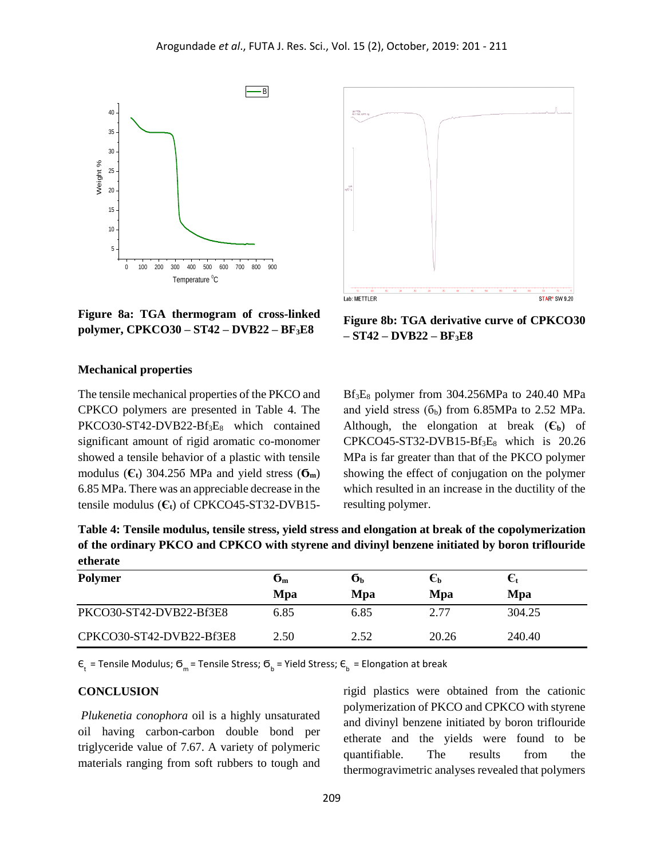

Lab: METTLER **STAR<sup>®</sup>** SW 9.20

**Figure 8a: TGA thermogram of cross-linked polymer, CPKCO30 – ST42 – DVB22 – BF3E8**

**Figure 8b: TGA derivative curve of CPKCO30 – ST42 – DVB22 – BF3E8**

#### **Mechanical properties**

The tensile mechanical properties of the PKCO and CPKCO polymers are presented in Table 4. The PKCO30-ST42-DVB22-Bf<sub>3</sub>E<sub>8</sub> which contained significant amount of rigid aromatic co-monomer showed a tensile behavior of a plastic with tensile modulus  $(\mathbf{C}_t)$  304.256 MPa and yield stress  $(\mathbf{G}_m)$ 6.85 MPa. There was an appreciable decrease in the tensile modulus (**Єt**) of CPKCO45-ST32-DVB15 $Bf_3E_8$  polymer from 304.256MPa to 240.40 MPa and yield stress  $(6<sub>b</sub>)$  from 6.85MPa to 2.52 MPa. Although, the elongation at break  $(\mathbf{\mathbf{C}}_{\mathbf{b}})$  of  $CPKCO45-ST32-DVB15-Bf_3E_8$  which is 20.26 MPa is far greater than that of the PKCO polymer showing the effect of conjugation on the polymer which resulted in an increase in the ductility of the resulting polymer.

**Table 4: Tensile modulus, tensile stress, yield stress and elongation at break of the copolymerization of the ordinary PKCO and CPKCO with styrene and divinyl benzene initiated by boron triflouride etherate**

| <b>Polymer</b>           | $\mathbf{6}_m$<br>Mpa | Оh<br>Mpa | $\epsilon_{\text{\tiny{b}}}$<br>Mpa | €t<br>Mpa |
|--------------------------|-----------------------|-----------|-------------------------------------|-----------|
| PKCO30-ST42-DVB22-Bf3E8  | 6.85                  | 6.85      | 2.77                                | 304.25    |
| CPKCO30-ST42-DVB22-Bf3E8 | 2.50                  | 2.52      | 20.26                               | 240.40    |

 $\bm{\mathsf{c}}_\text{t}$  = Tensile Modulus;  $\bm{\mathsf{G}}_\text{m}$  = Tensile Stress;  $\bm{\mathsf{G}}_\text{b}$  = Yield Stress;  $\bm{\mathsf{E}}_\text{b}$  = Elongation at break

## **CONCLUSION**

*Plukenetia conophora* oil is a highly unsaturated oil having carbon-carbon double bond per triglyceride value of 7.67. A variety of polymeric materials ranging from soft rubbers to tough and

rigid plastics were obtained from the cationic polymerization of PKCO and CPKCO with styrene and divinyl benzene initiated by boron triflouride etherate and the yields were found to be quantifiable. The results from the thermogravimetric analyses revealed that polymers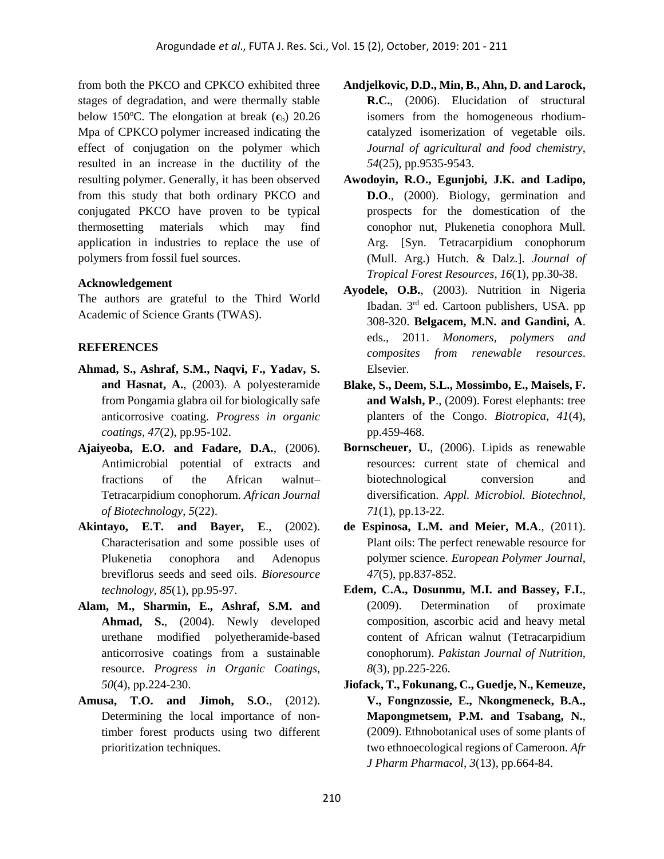from both the PKCO and CPKCO exhibited three stages of degradation, and were thermally stable below 150<sup>o</sup>C. The elongation at break  $(\epsilon_b)$  20.26 Mpa of CPKCO polymer increased indicating the effect of conjugation on the polymer which resulted in an increase in the ductility of the resulting polymer. Generally, it has been observed from this study that both ordinary PKCO and conjugated PKCO have proven to be typical thermosetting materials which may find application in industries to replace the use of polymers from fossil fuel sources.

## **Acknowledgement**

The authors are grateful to the Third World Academic of Science Grants (TWAS).

# **REFERENCES**

- **Ahmad, S., Ashraf, S.M., Naqvi, F., Yadav, S. and Hasnat, A.**, (2003). A polyesteramide from Pongamia glabra oil for biologically safe anticorrosive coating. *Progress in organic coatings*, *47*(2), pp.95-102.
- **Ajaiyeoba, E.O. and Fadare, D.A.**, (2006). Antimicrobial potential of extracts and fractions of the African walnut– Tetracarpidium conophorum. *African Journal of Biotechnology*, *5*(22).
- **Akintayo, E.T. and Bayer, E**., (2002). Characterisation and some possible uses of Plukenetia conophora and Adenopus breviflorus seeds and seed oils. *Bioresource technology*, *85*(1), pp.95-97.
- **Alam, M., Sharmin, E., Ashraf, S.M. and Ahmad, S.**, (2004). Newly developed urethane modified polyetheramide-based anticorrosive coatings from a sustainable resource. *Progress in Organic Coatings*, *50*(4), pp.224-230.
- **Amusa, T.O. and Jimoh, S.O.**, (2012). Determining the local importance of nontimber forest products using two different prioritization techniques.
- **Andjelkovic, D.D., Min, B., Ahn, D. and Larock, R.C.**, (2006). Elucidation of structural isomers from the homogeneous rhodiumcatalyzed isomerization of vegetable oils. *Journal of agricultural and food chemistry*, *54*(25), pp.9535-9543.
- **Awodoyin, R.O., Egunjobi, J.K. and Ladipo, D.O**., (2000). Biology, germination and prospects for the domestication of the conophor nut, Plukenetia conophora Mull. Arg. [Syn. Tetracarpidium conophorum (Mull. Arg.) Hutch. & Dalz.]. *Journal of Tropical Forest Resources*, *16*(1), pp.30-38.
- **Ayodele, O.B.**, (2003). Nutrition in Nigeria Ibadan. 3rd ed. Cartoon publishers, USA. pp 308-320. **Belgacem, M.N. and Gandini, A**. eds., 2011. *Monomers, polymers and composites from renewable resources*. Elsevier.
- **Blake, S., Deem, S.L., Mossimbo, E., Maisels, F. and Walsh, P**., (2009). Forest elephants: tree planters of the Congo. *Biotropica*, *41*(4), pp.459-468.
- **Bornscheuer, U.**, (2006). Lipids as renewable resources: current state of chemical and biotechnological conversion and diversification. *Appl. Microbiol. Biotechnol*, *71*(1), pp.13-22.
- **de Espinosa, L.M. and Meier, M.A**., (2011). Plant oils: The perfect renewable resource for polymer science. *European Polymer Journal*, *47*(5), pp.837-852.
- **Edem, C.A., Dosunmu, M.I. and Bassey, F.I.**, (2009). Determination of proximate composition, ascorbic acid and heavy metal content of African walnut (Tetracarpidium conophorum). *Pakistan Journal of Nutrition*, *8*(3), pp.225-226.
- **Jiofack, T., Fokunang, C., Guedje, N., Kemeuze, V., Fongnzossie, E., Nkongmeneck, B.A., Mapongmetsem, P.M. and Tsabang, N.**, (2009). Ethnobotanical uses of some plants of two ethnoecological regions of Cameroon. *Afr J Pharm Pharmacol*, *3*(13), pp.664-84.